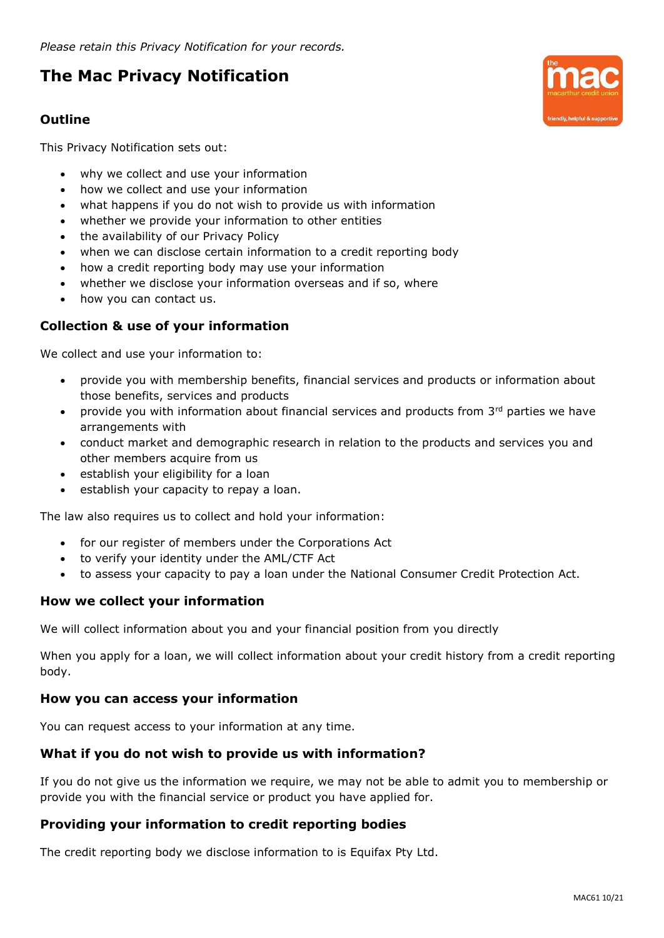*Please retain this Privacy Notification for your records.*

# **The Mac Privacy Notification**

## **Outline**

This Privacy Notification sets out:

- why we collect and use your information
- how we collect and use your information
- what happens if you do not wish to provide us with information
- whether we provide your information to other entities
- the availability of our Privacy Policy
- when we can disclose certain information to a credit reporting body
- how a credit reporting body may use your information
- whether we disclose your information overseas and if so, where
- how you can contact us.

## **Collection & use of your information**

We collect and use your information to:

- provide you with membership benefits, financial services and products or information about those benefits, services and products
- provide you with information about financial services and products from 3rd parties we have arrangements with
- conduct market and demographic research in relation to the products and services you and other members acquire from us
- establish your eligibility for a loan
- establish your capacity to repay a loan.

The law also requires us to collect and hold your information:

- for our register of members under the Corporations Act
- to verify your identity under the AML/CTF Act
- to assess your capacity to pay a loan under the National Consumer Credit Protection Act.

### **How we collect your information**

We will collect information about you and your financial position from you directly

When you apply for a loan, we will collect information about your credit history from a credit reporting body.

### **How you can access your information**

You can request access to your information at any time.

### **What if you do not wish to provide us with information?**

If you do not give us the information we require, we may not be able to admit you to membership or provide you with the financial service or product you have applied for.

### **Providing your information to credit reporting bodies**

The credit reporting body we disclose information to is Equifax Pty Ltd.

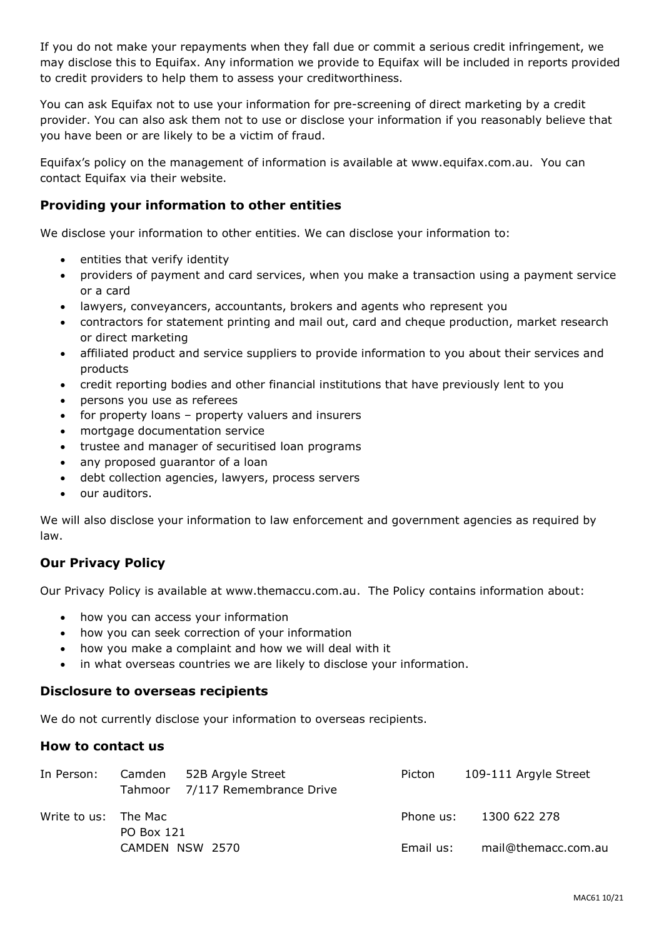If you do not make your repayments when they fall due or commit a serious credit infringement, we may disclose this to Equifax. Any information we provide to Equifax will be included in reports provided to credit providers to help them to assess your creditworthiness.

You can ask Equifax not to use your information for pre-screening of direct marketing by a credit provider. You can also ask them not to use or disclose your information if you reasonably believe that you have been or are likely to be a victim of fraud.

Equifax's policy on the management of information is available at www.equifax.com.au. You can contact Equifax via their website.

## **Providing your information to other entities**

We disclose your information to other entities. We can disclose your information to:

- entities that verify identity
- providers of payment and card services, when you make a transaction using a payment service or a card
- lawyers, conveyancers, accountants, brokers and agents who represent you
- contractors for statement printing and mail out, card and cheque production, market research or direct marketing
- affiliated product and service suppliers to provide information to you about their services and products
- credit reporting bodies and other financial institutions that have previously lent to you
- persons you use as referees
- for property loans property valuers and insurers
- mortgage documentation service
- trustee and manager of securitised loan programs
- any proposed guarantor of a loan
- debt collection agencies, lawyers, process servers
- our auditors.

We will also disclose your information to law enforcement and government agencies as required by law.

## **Our Privacy Policy**

Our Privacy Policy is available at www.themaccu.com.au. The Policy contains information about:

- how you can access your information
- how you can seek correction of your information
- how you make a complaint and how we will deal with it
- in what overseas countries we are likely to disclose your information.

#### **Disclosure to overseas recipients**

We do not currently disclose your information to overseas recipients.

### **How to contact us**

| In Person:           |                 | Camden 52B Argyle Street<br>Tahmoor 7/117 Remembrance Drive | Picton    | 109-111 Argyle Street  |
|----------------------|-----------------|-------------------------------------------------------------|-----------|------------------------|
| Write to us: The Mac | PO Box 121      |                                                             |           | Phone us: 1300 622 278 |
|                      | CAMDEN NSW 2570 |                                                             | Email us: | mail@themacc.com.au    |